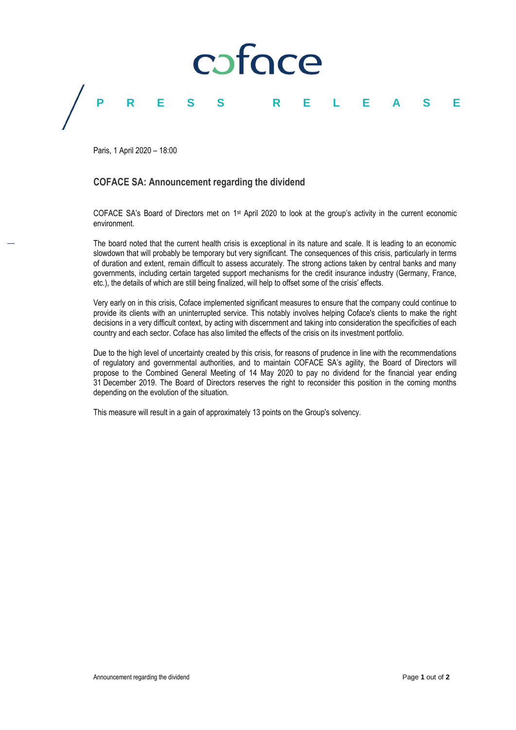

Paris, 1 April 2020 – 18:00

### **COFACE SA: Announcement regarding the dividend**

COFACE SA's Board of Directors met on 1<sup>st</sup> April 2020 to look at the group's activity in the current economic environment.

The board noted that the current health crisis is exceptional in its nature and scale. It is leading to an economic slowdown that will probably be temporary but very significant. The consequences of this crisis, particularly in terms of duration and extent, remain difficult to assess accurately. The strong actions taken by central banks and many governments, including certain targeted support mechanisms for the credit insurance industry (Germany, France, etc.), the details of which are still being finalized, will help to offset some of the crisis' effects.

Very early on in this crisis, Coface implemented significant measures to ensure that the company could continue to provide its clients with an uninterrupted service. This notably involves helping Coface's clients to make the right decisions in a very difficult context, by acting with discernment and taking into consideration the specificities of each country and each sector. Coface has also limited the effects of the crisis on its investment portfolio.

Due to the high level of uncertainty created by this crisis, for reasons of prudence in line with the recommendations of regulatory and governmental authorities, and to maintain COFACE SA's agility, the Board of Directors will propose to the Combined General Meeting of 14 May 2020 to pay no dividend for the financial year ending 31 December 2019. The Board of Directors reserves the right to reconsider this position in the coming months depending on the evolution of the situation.

This measure will result in a gain of approximately 13 points on the Group's solvency.